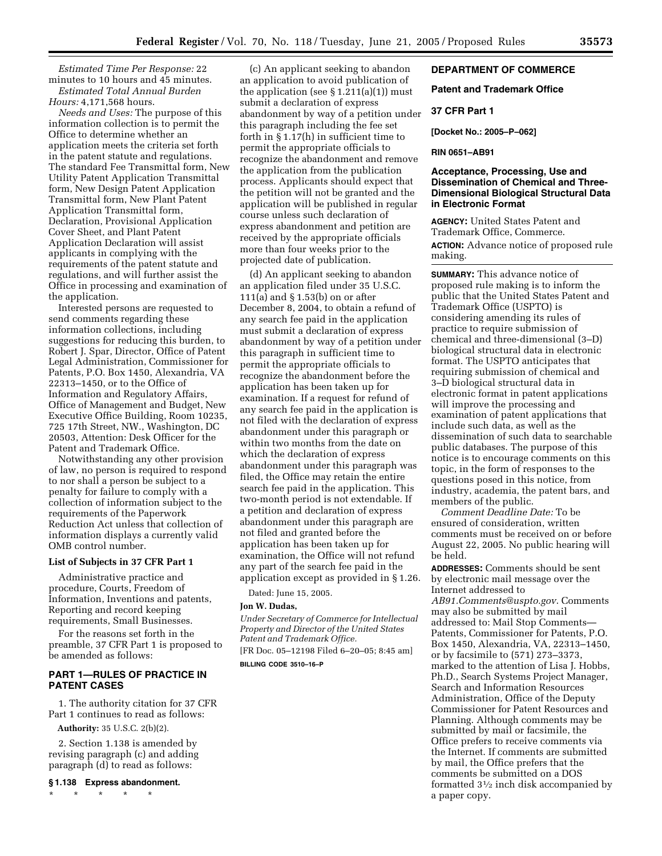*Estimated Time Per Response:* 22 minutes to 10 hours and 45 minutes. *Estimated Total Annual Burden* 

## *Hours:* 4,171,568 hours.

*Needs and Uses:* The purpose of this information collection is to permit the Office to determine whether an application meets the criteria set forth in the patent statute and regulations. The standard Fee Transmittal form, New Utility Patent Application Transmittal form, New Design Patent Application Transmittal form, New Plant Patent Application Transmittal form, Declaration, Provisional Application Cover Sheet, and Plant Patent Application Declaration will assist applicants in complying with the requirements of the patent statute and regulations, and will further assist the Office in processing and examination of the application.

Interested persons are requested to send comments regarding these information collections, including suggestions for reducing this burden, to Robert J. Spar, Director, Office of Patent Legal Administration, Commissioner for Patents, P.O. Box 1450, Alexandria, VA 22313–1450, or to the Office of Information and Regulatory Affairs, Office of Management and Budget, New Executive Office Building, Room 10235, 725 17th Street, NW., Washington, DC 20503, Attention: Desk Officer for the Patent and Trademark Office.

Notwithstanding any other provision of law, no person is required to respond to nor shall a person be subject to a penalty for failure to comply with a collection of information subject to the requirements of the Paperwork Reduction Act unless that collection of information displays a currently valid OMB control number.

#### **List of Subjects in 37 CFR Part 1**

Administrative practice and procedure, Courts, Freedom of Information, Inventions and patents, Reporting and record keeping requirements, Small Businesses.

For the reasons set forth in the preamble, 37 CFR Part 1 is proposed to be amended as follows:

## **PART 1—RULES OF PRACTICE IN PATENT CASES**

1. The authority citation for 37 CFR Part 1 continues to read as follows:

**Authority:** 35 U.S.C. 2(b)(2).

2. Section 1.138 is amended by revising paragraph (c) and adding paragraph (d) to read as follows:

**§ 1.138 Express abandonment.** 

\* \* \* \* \*

(c) An applicant seeking to abandon an application to avoid publication of the application (see  $\S 1.211(a)(1)$ ) must submit a declaration of express abandonment by way of a petition under this paragraph including the fee set forth in § 1.17(h) in sufficient time to permit the appropriate officials to recognize the abandonment and remove the application from the publication process. Applicants should expect that the petition will not be granted and the application will be published in regular course unless such declaration of express abandonment and petition are received by the appropriate officials more than four weeks prior to the projected date of publication.

(d) An applicant seeking to abandon an application filed under 35 U.S.C. 111(a) and § 1.53(b) on or after December 8, 2004, to obtain a refund of any search fee paid in the application must submit a declaration of express abandonment by way of a petition under this paragraph in sufficient time to permit the appropriate officials to recognize the abandonment before the application has been taken up for examination. If a request for refund of any search fee paid in the application is not filed with the declaration of express abandonment under this paragraph or within two months from the date on which the declaration of express abandonment under this paragraph was filed, the Office may retain the entire search fee paid in the application. This two-month period is not extendable. If a petition and declaration of express abandonment under this paragraph are not filed and granted before the application has been taken up for examination, the Office will not refund any part of the search fee paid in the application except as provided in § 1.26.

Dated: June 15, 2005.

# **Jon W. Dudas,**

*Under Secretary of Commerce for Intellectual Property and Director of the United States Patent and Trademark Office.*  [FR Doc. 05–12198 Filed 6–20–05; 8:45 am] **BILLING CODE 3510–16–P** 

## **DEPARTMENT OF COMMERCE**

#### **Patent and Trademark Office**

#### **37 CFR Part 1**

**[Docket No.: 2005–P–062]** 

# **RIN 0651–AB91**

## **Acceptance, Processing, Use and Dissemination of Chemical and Three-Dimensional Biological Structural Data in Electronic Format**

**AGENCY:** United States Patent and Trademark Office, Commerce. **ACTION:** Advance notice of proposed rule making.

**SUMMARY:** This advance notice of proposed rule making is to inform the public that the United States Patent and Trademark Office (USPTO) is considering amending its rules of practice to require submission of chemical and three-dimensional (3–D) biological structural data in electronic format. The USPTO anticipates that requiring submission of chemical and 3–D biological structural data in electronic format in patent applications will improve the processing and examination of patent applications that include such data, as well as the dissemination of such data to searchable public databases. The purpose of this notice is to encourage comments on this topic, in the form of responses to the questions posed in this notice, from industry, academia, the patent bars, and members of the public.

*Comment Deadline Date:* To be ensured of consideration, written comments must be received on or before August 22, 2005. No public hearing will be held.

**ADDRESSES:** Comments should be sent by electronic mail message over the Internet addressed to *[AB91.Comments@uspto.gov](mailto:AB91.Comments@uspto.gov)*. Comments may also be submitted by mail addressed to: Mail Stop Comments— Patents, Commissioner for Patents, P.O. Box 1450, Alexandria, VA, 22313–1450, or by facsimile to (571) 273–3373, marked to the attention of Lisa J. Hobbs, Ph.D., Search Systems Project Manager, Search and Information Resources Administration, Office of the Deputy Commissioner for Patent Resources and Planning. Although comments may be submitted by mail or facsimile, the Office prefers to receive comments via the Internet. If comments are submitted by mail, the Office prefers that the comments be submitted on a DOS formatted 31⁄2 inch disk accompanied by a paper copy.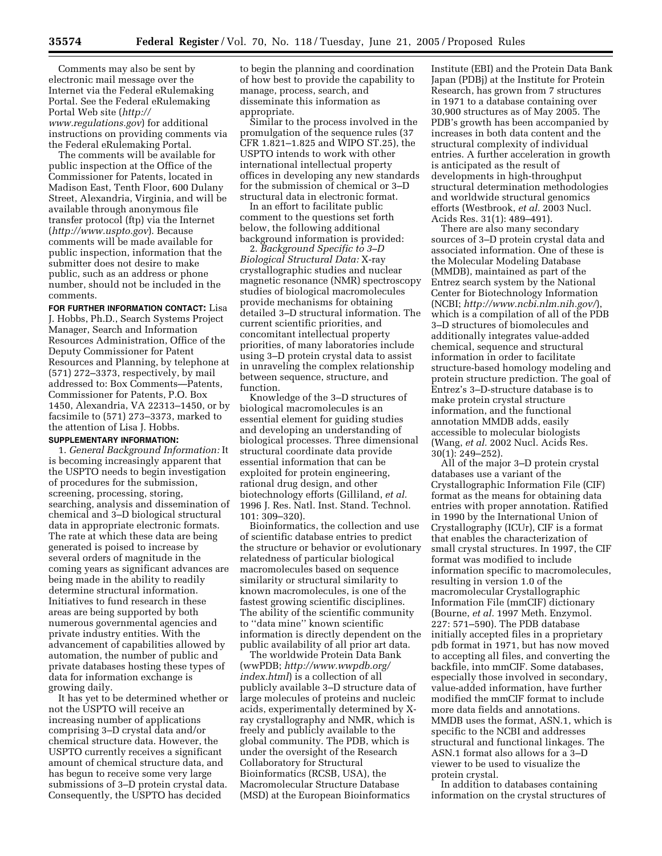Comments may also be sent by electronic mail message over the Internet via the Federal eRulemaking Portal. See the Federal eRulemaking Portal Web site (*http:// [www.regulations.gov](http://www.regulations.gov)*) for additional instructions on providing comments via the Federal eRulemaking Portal.

The comments will be available for public inspection at the Office of the Commissioner for Patents, located in Madison East, Tenth Floor, 600 Dulany Street, Alexandria, Virginia, and will be available through anonymous file transfer protocol (ftp) via the Internet (*<http://www.uspto.gov>*). Because comments will be made available for public inspection, information that the submitter does not desire to make public, such as an address or phone number, should not be included in the comments.

**FOR FURTHER INFORMATION CONTACT:** Lisa J. Hobbs, Ph.D., Search Systems Project Manager, Search and Information Resources Administration, Office of the Deputy Commissioner for Patent Resources and Planning, by telephone at (571) 272–3373, respectively, by mail addressed to: Box Comments—Patents, Commissioner for Patents, P.O. Box 1450, Alexandria, VA 22313–1450, or by facsimile to (571) 273–3373, marked to the attention of Lisa J. Hobbs.

# **SUPPLEMENTARY INFORMATION:**

1. *General Background Information:* It is becoming increasingly apparent that the USPTO needs to begin investigation of procedures for the submission, screening, processing, storing, searching, analysis and dissemination of chemical and 3–D biological structural data in appropriate electronic formats. The rate at which these data are being generated is poised to increase by several orders of magnitude in the coming years as significant advances are being made in the ability to readily determine structural information. Initiatives to fund research in these areas are being supported by both numerous governmental agencies and private industry entities. With the advancement of capabilities allowed by automation, the number of public and private databases hosting these types of data for information exchange is growing daily.

It has yet to be determined whether or not the USPTO will receive an increasing number of applications comprising 3–D crystal data and/or chemical structure data. However, the USPTO currently receives a significant amount of chemical structure data, and has begun to receive some very large submissions of 3–D protein crystal data. Consequently, the USPTO has decided

to begin the planning and coordination of how best to provide the capability to manage, process, search, and disseminate this information as appropriate.

Similar to the process involved in the promulgation of the sequence rules (37 CFR 1.821–1.825 and WIPO ST.25), the USPTO intends to work with other international intellectual property offices in developing any new standards for the submission of chemical or 3–D structural data in electronic format.

In an effort to facilitate public comment to the questions set forth below, the following additional background information is provided:

2. *Background Specific to 3–D Biological Structural Data:* X-ray crystallographic studies and nuclear magnetic resonance (NMR) spectroscopy studies of biological macromolecules provide mechanisms for obtaining detailed 3–D structural information. The current scientific priorities, and concomitant intellectual property priorities, of many laboratories include using 3–D protein crystal data to assist in unraveling the complex relationship between sequence, structure, and function.

Knowledge of the 3–D structures of biological macromolecules is an essential element for guiding studies and developing an understanding of biological processes. Three dimensional structural coordinate data provide essential information that can be exploited for protein engineering, rational drug design, and other biotechnology efforts (Gilliland, *et al.*  1996 J. Res. Natl. Inst. Stand. Technol. 101: 309–320).

Bioinformatics, the collection and use of scientific database entries to predict the structure or behavior or evolutionary relatedness of particular biological macromolecules based on sequence similarity or structural similarity to known macromolecules, is one of the fastest growing scientific disciplines. The ability of the scientific community to ''data mine'' known scientific information is directly dependent on the public availability of all prior art data.

The worldwide Protein Data Bank (wwPDB; *[http://www.wwpdb.org/](http://www.wwpdb.org/index.html)  index.html*) is a collection of all publicly available 3–D structure data of large molecules of proteins and nucleic acids, experimentally determined by Xray crystallography and NMR, which is freely and publicly available to the global community. The PDB, which is under the oversight of the Research Collaboratory for Structural Bioinformatics (RCSB, USA), the Macromolecular Structure Database (MSD) at the European Bioinformatics

Institute (EBI) and the Protein Data Bank Japan (PDBj) at the Institute for Protein Research, has grown from 7 structures in 1971 to a database containing over 30,900 structures as of May 2005. The PDB's growth has been accompanied by increases in both data content and the structural complexity of individual entries. A further acceleration in growth is anticipated as the result of developments in high-throughput structural determination methodologies and worldwide structural genomics efforts (Westbrook, *et al.* 2003 Nucl. Acids Res. 31(1): 489–491).

There are also many secondary sources of 3–D protein crystal data and associated information. One of these is the Molecular Modeling Database (MMDB), maintained as part of the Entrez search system by the National Center for Biotechnology Information (NCBI; *[http://www.ncbi.nlm.nih.gov](http://www.ncbi.nlm.nih.gov/)/*), which is a compilation of all of the PDB 3–D structures of biomolecules and additionally integrates value-added chemical, sequence and structural information in order to facilitate structure-based homology modeling and protein structure prediction. The goal of Entrez's 3–D-structure database is to make protein crystal structure information, and the functional annotation MMDB adds, easily accessible to molecular biologists (Wang, *et al.* 2002 Nucl. Acids Res. 30(1): 249–252).

All of the major 3–D protein crystal databases use a variant of the Crystallographic Information File (CIF) format as the means for obtaining data entries with proper annotation. Ratified in 1990 by the International Union of Crystallography (ICUr), CIF is a format that enables the characterization of small crystal structures. In 1997, the CIF format was modified to include information specific to macromolecules, resulting in version 1.0 of the macromolecular Crystallographic Information File (mmCIF) dictionary (Bourne, *et al.* 1997 Meth. Enzymol. 227: 571–590). The PDB database initially accepted files in a proprietary pdb format in 1971, but has now moved to accepting all files, and converting the backfile, into mmCIF. Some databases, especially those involved in secondary, value-added information, have further modified the mmCIF format to include more data fields and annotations. MMDB uses the format, ASN.1, which is specific to the NCBI and addresses structural and functional linkages. The ASN.1 format also allows for a 3–D viewer to be used to visualize the protein crystal.

In addition to databases containing information on the crystal structures of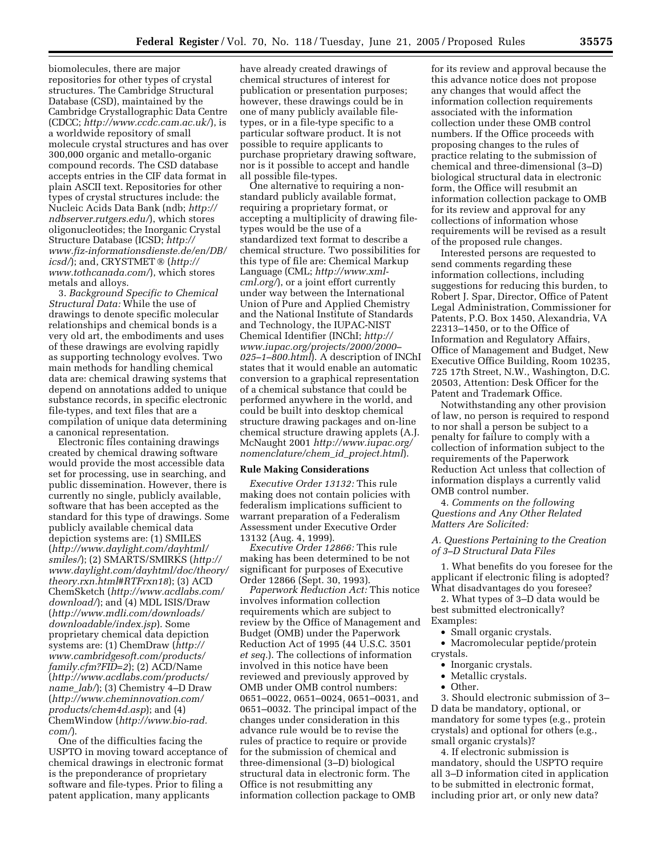biomolecules, there are major repositories for other types of crystal structures. The Cambridge Structural Database (CSD), maintained by the Cambridge Crystallographic Data Centre (CDCC; *<http://www.ccdc.cam.ac.uk/>*), is a worldwide repository of small molecule crystal structures and has over 300,000 organic and metallo-organic compound records. The CSD database accepts entries in the CIF data format in plain ASCII text. Repositories for other types of crystal structures include: the [Nucleic Acids Data Bank \(ndb;](http://ndbserver.rutgers.edu/) *http:// ndbserver.rutgers.edu/*), which stores oligonucleotides; the Inorganic Crystal Structure Database (ICSD; *http:// [www.fiz-informationsdienste.de/en/DB/](http://www.fiz-informationsdienste.de/en/DB/icsd/)  [icsd/](http://www.fiz-informationsdienste.de/en/DB/icsd/)*); and, CRYSTMET  $\otimes$  (*http:// [www.tothcanada.com/](http://www.tothcanada.com/)*), which stores metals and alloys.

3. *Background Specific to Chemical Structural Data:* While the use of drawings to denote specific molecular relationships and chemical bonds is a very old art, the embodiments and uses of these drawings are evolving rapidly as supporting technology evolves. Two main methods for handling chemical data are: chemical drawing systems that depend on annotations added to unique substance records, in specific electronic file-types, and text files that are a compilation of unique data determining a canonical representation.

Electronic files containing drawings created by chemical drawing software would provide the most accessible data set for processing, use in searching, and public dissemination. However, there is currently no single, publicly available, software that has been accepted as the standard for this type of drawings. Some publicly available chemical data depiction systems are: (1) SMILES (*[http://www.daylight.com/dayhtml/](http://www.daylight.com/dayhtml/smiles/)  [smiles/](http://www.daylight.com/dayhtml/smiles/)*); (2) SMARTS/SMIRKS (*[http://](http://www.daylight.com/dayhtml/doc/theory/theory.rxn.html#RTFrxn18)  [www.daylight.com/dayhtml/doc/theory/](http://www.daylight.com/dayhtml/doc/theory/theory.rxn.html#RTFrxn18)  theory.rxn.html#RTFrxn18*); (3) ACD ChemSketch (*[http://www.acdlabs.com/](http://www.acdlabs.com/download/)  download/*); and (4) MDL ISIS/Draw (*[http://www.mdli.com/downloads/](http://www.mdli.com/downloads/downloadable/index.jsp)  downloadable/index.jsp*). Some proprietary chemical data depiction systems are: (1) ChemDraw (*http:// [www.cambridgesoft.com/products/](http://www.cambridgesoft.com/products/family.cfm?FID=2)  family.cfm?FID=2*); (2) ACD/Name (*[http://www.acdlabs.com/products/](http://www.acdlabs.com/products/name_lab/)  name*\_*lab/*); (3) Chemistry 4–D Draw (*[http://www.cheminnovation.com/](http://www.cheminnovation.com/products/chem4d.asp)  products/chem4d.asp*); and (4) ChemWindow (*[http://www.bio-rad.](http://www.bio-rad.com/)  com/*).

One of the difficulties facing the USPTO in moving toward acceptance of chemical drawings in electronic format is the preponderance of proprietary software and file-types. Prior to filing a patent application, many applicants

have already created drawings of chemical structures of interest for publication or presentation purposes; however, these drawings could be in one of many publicly available filetypes, or in a file-type specific to a particular software product. It is not possible to require applicants to purchase proprietary drawing software, nor is it possible to accept and handle all possible file-types.

One alternative to requiring a nonstandard publicly available format, requiring a proprietary format, or accepting a multiplicity of drawing filetypes would be the use of a standardized text format to describe a chemical structure. Two possibilities for this type of file are: Chemical Markup Language (CML; *http://www.xmlcml.org/*[\), or a joint effort currentl](http://www.xml-cml)y under way between the International Union of Pure and Applied Chemistry and the National Institute of Standards and Technology, the IUPAC-NIST Chemical Identifier (INChI; *http:// [www.iupac.org/projects/2000/2000–](http://www.iupac.org/projects/2000/2000-025-1-800.html)  025–1–800.html*). A description of INChI states that it would enable an automatic conversion to a graphical representation of a chemical substance that could be performed anywhere in the world, and could be built into desktop chemical structure drawing packages and on-line chemical structure drawing applets (A.J. McNaught 2001 *[http://www.iupac.org/](http://www.iupac.org/nomenclature/chem_id_project.html)  nomenclature/chem*\_*id*\_*project.html*).

#### **Rule Making Considerations**

*Executive Order 13132:* This rule making does not contain policies with federalism implications sufficient to warrant preparation of a Federalism Assessment under Executive Order 13132 (Aug. 4, 1999).

*Executive Order 12866:* This rule making has been determined to be not significant for purposes of Executive Order 12866 (Sept. 30, 1993).

*Paperwork Reduction Act:* This notice involves information collection requirements which are subject to review by the Office of Management and Budget (OMB) under the Paperwork Reduction Act of 1995 (44 U.S.C. 3501 *et seq.*). The collections of information involved in this notice have been reviewed and previously approved by OMB under OMB control numbers: 0651–0022, 0651–0024, 0651–0031, and 0651–0032. The principal impact of the changes under consideration in this advance rule would be to revise the rules of practice to require or provide for the submission of chemical and three-dimensional (3–D) biological structural data in electronic form. The Office is not resubmitting any information collection package to OMB

for its review and approval because the this advance notice does not propose any changes that would affect the information collection requirements associated with the information collection under these OMB control numbers. If the Office proceeds with proposing changes to the rules of practice relating to the submission of chemical and three-dimensional (3–D) biological structural data in electronic form, the Office will resubmit an information collection package to OMB for its review and approval for any collections of information whose requirements will be revised as a result of the proposed rule changes.

Interested persons are requested to send comments regarding these information collections, including suggestions for reducing this burden, to Robert J. Spar, Director, Office of Patent Legal Administration, Commissioner for Patents, P.O. Box 1450, Alexandria, VA 22313–1450, or to the Office of Information and Regulatory Affairs, Office of Management and Budget, New Executive Office Building, Room 10235, 725 17th Street, N.W., Washington, D.C. 20503, Attention: Desk Officer for the Patent and Trademark Office.

Notwithstanding any other provision of law, no person is required to respond to nor shall a person be subject to a penalty for failure to comply with a collection of information subject to the requirements of the Paperwork Reduction Act unless that collection of information displays a currently valid OMB control number.

4. *Comments on the following Questions and Any Other Related Matters Are Solicited:* 

*A. Questions Pertaining to the Creation of 3–D Structural Data Files* 

1. What benefits do you foresee for the applicant if electronic filing is adopted? What disadvantages do you foresee?

2. What types of 3–D data would be best submitted electronically? Examples:

• Small organic crystals.

• Macromolecular peptide/protein crystals.

- Inorganic crystals.
- Metallic crystals.
- Other.

3. Should electronic submission of 3– D data be mandatory, optional, or mandatory for some types (e.g., protein crystals) and optional for others (e.g., small organic crystals)?

4. If electronic submission is mandatory, should the USPTO require all 3–D information cited in application to be submitted in electronic format, including prior art, or only new data?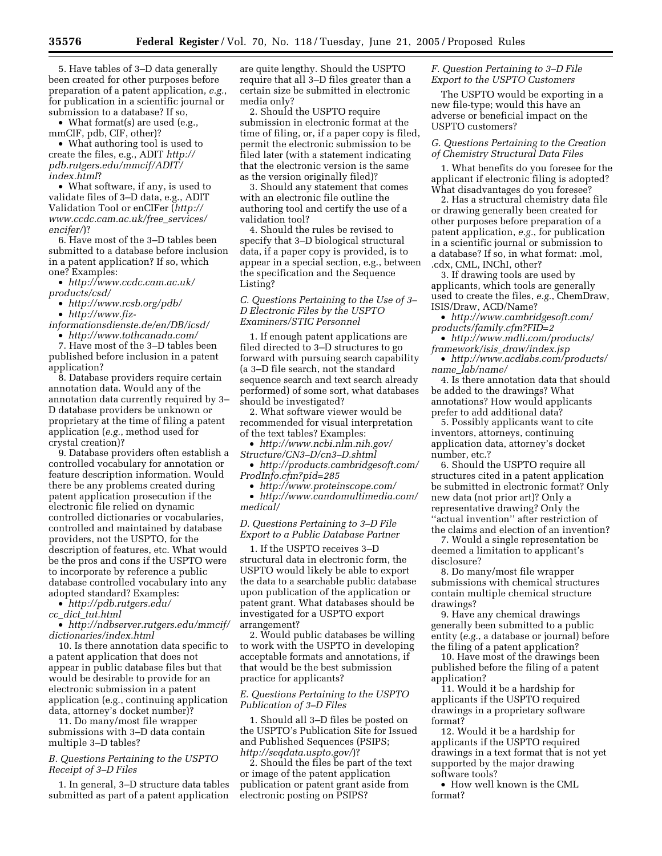5. Have tables of 3–D data generally been created for other purposes before preparation of a patent application, *e.g.*, for publication in a scientific journal or submission to a database? If so,

• What format(s) are used (e.g., mmCIF, pdb, CIF, other)?

• What authoring tool is used to create the files, e.g., ADIT *http:// [pdb.rutgers.edu/mmcif/ADIT/](http://pdb.rutgers.edu/mmcif/ADIT/index.html)  index.html*?

• What software, if any, is used to validate files of 3–D data, e.g., ADIT [Validation Tool or enCIFer \(](http://www.ccdc.cam.ac.uk/free_services/encifer/)*http:// www.ccdc.cam.ac.uk/free*\_*services/ encifer/*)?

6. Have most of the 3–D tables been submitted to a database before inclusion in a patent application? If so, which one? Examples:

• *[http://www.ccdc.cam.ac.uk/](http://www.ccdc.cam.ac.uk/products/csd/)  products/csd/* 

• *<http://www.rcsb.org/pdb/>* 

• *http://www.fiz-*

*[informationsdienste.de/en/DB/icsd/](http://www.fiz-informationsdienste.de/en/DB/icsd/)* 

• *<http://www.tothcanada.com/>* 

7. Have most of the 3–D tables been published before inclusion in a patent application?

8. Database providers require certain annotation data. Would any of the annotation data currently required by 3– D database providers be unknown or proprietary at the time of filing a patent application (*e.g.*, method used for crystal creation)?

9. Database providers often establish a controlled vocabulary for annotation or feature description information. Would there be any problems created during patent application prosecution if the electronic file relied on dynamic controlled dictionaries or vocabularies, controlled and maintained by database providers, not the USPTO, for the description of features, etc. What would be the pros and cons if the USPTO were to incorporate by reference a public database controlled vocabulary into any adopted standard? Examples:

• *[http://pdb.rutgers.edu/](http://pdb.rutgers.edu/cc_dict_tut.html)* 

*cc*\_*dict*\_*tut.html* 

• *[http://ndbserver.rutgers.edu/mmcif/](http://ndbserver.rutgers.edu/mmcif/dictionaries/index.html)  dictionaries/index.html* 

10. Is there annotation data specific to a patent application that does not appear in public database files but that would be desirable to provide for an electronic submission in a patent application (e.g., continuing application data, attorney's docket number)?

11. Do many/most file wrapper submissions with 3–D data contain multiple 3–D tables?

### *B. Questions Pertaining to the USPTO Receipt of 3–D Files*

1. In general, 3–D structure data tables submitted as part of a patent application

are quite lengthy. Should the USPTO require that all 3–D files greater than a certain size be submitted in electronic media only?

2. Should the USPTO require submission in electronic format at the time of filing, or, if a paper copy is filed, permit the electronic submission to be filed later (with a statement indicating that the electronic version is the same as the version originally filed)?

3. Should any statement that comes with an electronic file outline the authoring tool and certify the use of a validation tool?

4. Should the rules be revised to specify that 3–D biological structural data, if a paper copy is provided, is to appear in a special section, e.g., between the specification and the Sequence Listing?

*C. Questions Pertaining to the Use of 3– D Electronic Files by the USPTO Examiners/STIC Personnel* 

1. If enough patent applications are filed directed to 3–D structures to go forward with pursuing search capability (a 3–D file search, not the standard sequence search and text search already performed) of some sort, what databases should be investigated?

2. What software viewer would be recommended for visual interpretation of the text tables? Examples:

• *[http://www.ncbi.nlm.nih.gov/](http://www.ncbi.nlm.nih.gov/Structure/CN3-D/cn3-D.shtml)  Structure/CN3–D/cn3–D.shtml* 

• *[http://products.cambridgesoft.com/](http://products.cambridgesoft.com/ProdInfo.cfm?pid=285)  ProdInfo.cfm?pid=285* 

• *<http://www.proteinscope.com/>*  • *[http://www.candomultimedia.com/](http://www.candomultimedia.com/medical/)  medical/* 

## *D. Questions Pertaining to 3–D File Export to a Public Database Partner*

1. If the USPTO receives 3–D structural data in electronic form, the USPTO would likely be able to export the data to a searchable public database upon publication of the application or patent grant. What databases should be investigated for a USPTO export arrangement?

2. Would public databases be willing to work with the USPTO in developing acceptable formats and annotations, if that would be the best submission practice for applicants?

### *E. Questions Pertaining to the USPTO Publication of 3–D Files*

1. Should all 3–D files be posted on the USPTO's Publication Site for Issued and Published Sequences (PSIPS; *[http://seqdata.uspto.gov/](http://seqdata.uspto.gov/)?)*)?

2. Should the files be part of the text or image of the patent application publication or patent grant aside from electronic posting on PSIPS?

## *F. Question Pertaining to 3–D File Export to the USPTO Customers*

The USPTO would be exporting in a new file-type; would this have an adverse or beneficial impact on the USPTO customers?

## *G. Questions Pertaining to the Creation of Chemistry Structural Data Files*

1. What benefits do you foresee for the applicant if electronic filing is adopted? What disadvantages do you foresee?

2. Has a structural chemistry data file or drawing generally been created for other purposes before preparation of a patent application, *e.g.*, for publication in a scientific journal or submission to a database? If so, in what format: .mol, .cdx, CML, INChI, other?

3. If drawing tools are used by applicants, which tools are generally used to create the files, *e.g.*, ChemDraw, ISIS/Draw, ACD/Name?

• *[http://www.cambridgesoft.com/](http://www.cambridgesoft.com/products/family.cfm?FID=2)  products/family.cfm?FID=2* 

• *[http://www.mdli.com/products/](http://www.mdli.com/products/framework/isis_draw/index.jsp)  framework/isis*\_*draw/index.jsp* 

• *[http://www.acdlabs.com/products/](http://www.acdtabs.com/products/name_lab/name/)  name*\_*lab/name/* 

4. Is there annotation data that should be added to the drawings? What annotations? How would applicants prefer to add additional data?

5. Possibly applicants want to cite inventors, attorneys, continuing application data, attorney's docket number, etc.?

6. Should the USPTO require all structures cited in a patent application be submitted in electronic format? Only new data (not prior art)? Only a representative drawing? Only the ''actual invention'' after restriction of the claims and election of an invention?

7. Would a single representation be deemed a limitation to applicant's disclosure?

8. Do many/most file wrapper submissions with chemical structures contain multiple chemical structure drawings?

9. Have any chemical drawings generally been submitted to a public entity (*e.g.*, a database or journal) before the filing of a patent application?

10. Have most of the drawings been published before the filing of a patent application?

11. Would it be a hardship for applicants if the USPTO required drawings in a proprietary software format?

12. Would it be a hardship for applicants if the USPTO required drawings in a text format that is not yet supported by the major drawing software tools?

• How well known is the CML format?